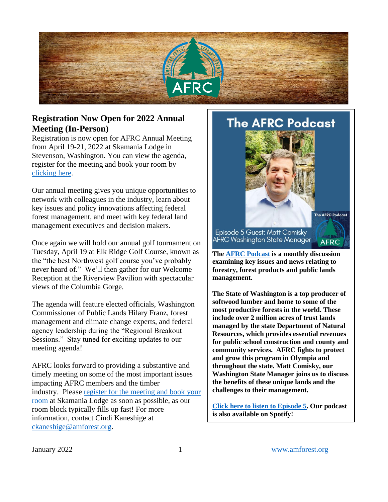# **Registration Now Open for 2022 Annual Meeting (In-Person)**

Registration is now open for AFRC Annual Meeting from April 19-21, 2022 at Skamania Lodge in Stevenson, Washington. You can view the agenda, register for the meeting and book your room by [clicking here.](https://cvent.me/17Wgo9)

Our annual meeting gives you unique opportunities to network with colleagues in the industry, learn about key issues and policy innovations affecting federal forest management, and meet with key federal land management executives and decision makers.

Once again we will hold our annual golf tournament on Tuesday, April 19 at Elk Ridge Golf Course, known as the "the best Northwest golf course you've probably never heard of." We'll then gather for our Welcome Reception at the Riverview Pavilion with spectacular views of the Columbia Gorge.

The agenda will feature elected officials, Washington Commissioner of Public Lands Hilary Franz, forest management and climate change experts, and federal agency leadership during the "Regional Breakout Sessions." Stay tuned for exciting updates to our meeting agenda!

AFRC looks forward to providing a substantive and timely meeting on some of the most important issues impacting AFRC members and the timber industry. Please [register for the meeting and book your](https://cvent.me/17Wgo9) [room](https://cvent.me/17Wgo9) at Skamania Lodge as soon as possible, as our room block typically fills up fast! For more information, contact Cindi Kaneshige at [ckaneshige@amforest.org.](mailto:ckaneshige@amforest.org)

**The AFRC Podcast** 

Episode 5 Guest: Matt Comisky AFRC Washington State Manager

**The [AFRC Podcast](https://anchor.fm/afrc-forestry/) is a monthly discussion examining key issues and news relating to forestry, forest products and public lands management.**

The AFRC Podcast

**AFRC** 

**The State of Washington is a top producer of softwood lumber and home to some of the most productive forests in the world. These include over 2 million acres of trust lands managed by the state Department of Natural Resources, which provides essential revenues for public school construction and county and community services. AFRC fights to protect and grow this program in Olympia and throughout the state. Matt Comisky, our Washington State Manager joins us to discuss the benefits of these unique lands and the challenges to their management.**

**[Click here to listen to Episode 5.](https://anchor.fm/afrc-forestry/episodes/Episode-5-Washington-State-Forestry-and-DNR-State-Trust-Lands-e1df7aa) Our podcast is also available on Spotify!**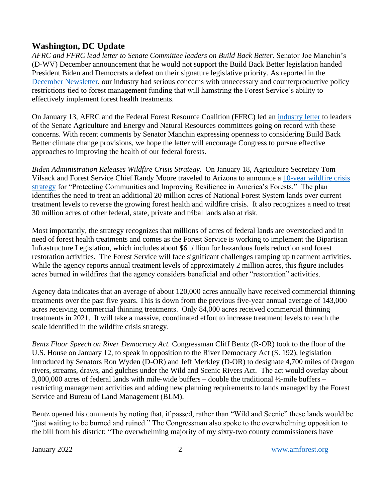## **Washington, DC Update**

*AFRC and FFRC lead letter to Senate Committee leaders on Build Back Better.* Senator Joe Manchin's (D-WV) December announcement that he would not support the Build Back Better legislation handed President Biden and Democrats a defeat on their signature legislative priority. As reported in the [December Newsl](https://amforest.org/wp-content/uploads/2022/01/December-2021-Newsletter.pdf)etter, our industry had serious concerns with unnecessary and counterproductive policy restrictions tied to forest management funding that will hamstring the Forest Service's ability to effectively implement forest health treatments.

On January 13, AFRC and the Federal Forest Resource Coalition (FFRC) led an [industry letter](https://amforest.org/wp-content/uploads/2022/01/BBB-Forestry-Concerns-Letter-January-2022-FINAL.pdf) to leaders of the Senate Agriculture and Energy and Natural Resources committees going on record with these concerns. With recent comments by Senator Manchin expressing openness to considering Build Back Better climate change provisions, we hope the letter will encourage Congress to pursue effective approaches to improving the health of our federal forests.

*Biden Administration Releases Wildfire Crisis Strategy.* On January 18, Agriculture Secretary Tom Vilsack and Forest Service Chief Randy Moore traveled to Arizona to announce a [10-year wildfire crisis](https://www.fs.usda.gov/sites/default/files/Confronting-Wildfire-Crisis.pdf)  [strategy](https://www.fs.usda.gov/sites/default/files/Confronting-Wildfire-Crisis.pdf) for "Protecting Communities and Improving Resilience in America's Forests." The plan identifies the need to treat an additional 20 million acres of National Forest System lands over current treatment levels to reverse the growing forest health and wildfire crisis. It also recognizes a need to treat 30 million acres of other federal, state, private and tribal lands also at risk.

Most importantly, the strategy recognizes that millions of acres of federal lands are overstocked and in need of forest health treatments and comes as the Forest Service is working to implement the Bipartisan Infrastructure Legislation, which includes about \$6 billion for hazardous fuels reduction and forest restoration activities. The Forest Service will face significant challenges ramping up treatment activities. While the agency reports annual treatment levels of approximately 2 million acres, this figure includes acres burned in wildfires that the agency considers beneficial and other "restoration" activities.

Agency data indicates that an average of about 120,000 acres annually have received commercial thinning treatments over the past five years. This is down from the previous five-year annual average of 143,000 acres receiving commercial thinning treatments. Only 84,000 acres received commercial thinning treatments in 2021. It will take a massive, coordinated effort to increase treatment levels to reach the scale identified in the wildfire crisis strategy.

*Bentz Floor Speech on River Democracy Act.* Congressman Cliff Bentz (R-OR) took to the floor of the U.S. House on January 12, to speak in opposition to the River Democracy Act (S. 192), legislation introduced by Senators Ron Wyden (D-OR) and Jeff Merkley (D-OR) to designate 4,700 miles of Oregon rivers, streams, draws, and gulches under the Wild and Scenic Rivers Act. The act would overlay about 3,000,000 acres of federal lands with mile-wide buffers – double the traditional ½-mile buffers – restricting management activities and adding new planning requirements to lands managed by the Forest Service and Bureau of Land Management (BLM).

Bentz opened his comments by noting that, if passed, rather than "Wild and Scenic" these lands would be "just waiting to be burned and ruined." The Congressman also spoke to the overwhelming opposition to the bill from his district: "The overwhelming majority of my sixty-two county commissioners have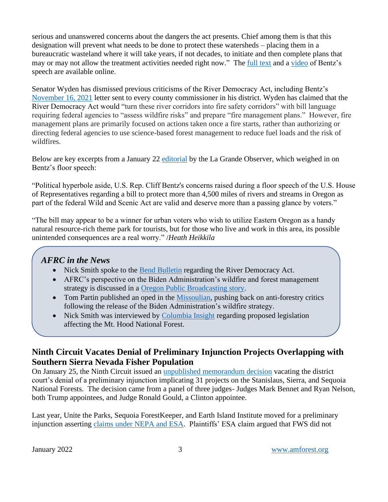serious and unanswered concerns about the dangers the act presents. Chief among them is that this designation will prevent what needs to be done to protect these watersheds – placing them in a bureaucratic wasteland where it will take years, if not decades, to initiate and then complete plans that may or may not allow the treatment activities needed right now." The [full text](https://docs.google.com/document/d/14qJfqM-0f0kZt3x-GNxTP7CTZh5q0dg2/edit) and a [video](https://www.youtube.com/watch?v=ujGXyFLJxDw) of Bentz's speech are available online.

Senator Wyden has dismissed previous criticisms of the River Democracy Act, including Bentz's [November 16, 2021](https://amforest.org/wp-content/uploads/2021/12/Bentz-River-Democracy-Act-Letter.pdf) letter sent to every county commissioner in his district. Wyden has claimed that the River Democracy Act would "turn these river corridors into fire safety corridors" with bill language requiring federal agencies to "assess wildfire risks" and prepare "fire management plans." However, fire management plans are primarily focused on actions taken once a fire starts, rather than authorizing or directing federal agencies to use science-based forest management to reduce fuel loads and the risk of wildfires.

Below are key excerpts from a January 22 [editorial](https://news.yahoo.com/editorial-view-rivers-act-needs-045900868.html) by the La Grande Observer, which weighed in on Bentz's floor speech:

"Political hyperbole aside, U.S. Rep. Cliff Bentz's concerns raised during a floor speech of the U.S. House of Representatives regarding a bill to protect more than 4,500 miles of rivers and streams in Oregon as part of the federal Wild and Scenic Act are valid and deserve more than a passing glance by voters."

"The bill may appear to be a winner for urban voters who wish to utilize Eastern Oregon as a handy natural resource-rich theme park for tourists, but for those who live and work in this area, its possible unintended consequences are a real worry." /*Heath Heikkila*

## *AFRC in the News*

- Nick Smith spoke to the [Bend Bulletin](https://www.bendbulletin.com/localstate/environment/bentz-speaks-out-against-wydens-river-act/article_ad013514-73f1-11ec-8c4e-ab3024480929.html) regarding the River Democracy Act.
- AFRC's perspective on the Biden Administration's wildfire and forest management strategy is discussed in a [Oregon Public Broadcasting](https://www.opb.org/article/2022/01/21/federal-plan-aims-to-prevent-wildfires-in-high-risk-areas-oregon/) story.
- Tom Partin published an oped in the [Missoulian,](https://missoulian.com/opinion/columnists/opinion-10-year-wildfire-strategy-will-work/article_2044c35f-e7c9-5282-8158-a9495994150c.html) pushing back on anti-forestry critics following the release of the Biden Administration's wildfire strategy.
- Nick Smith was interviewed by [Columbia Insight](https://columbiainsight.org/massive-expansion-of-mt-hood-national-recreation-area-could-be-coming/) regarding proposed legislation affecting the Mt. Hood National Forest.

# **Ninth Circuit Vacates Denial of Preliminary Injunction Projects Overlapping with Southern Sierra Nevada Fisher Population**

On January 25, the Ninth Circuit issued an [unpublished memorandum decision](https://amforest.org/wp-content/uploads/2022/01/Unite-the-Parks-Mem-Disp-1-25-2022.pdf) vacating the district court's denial of a preliminary injunction implicating 31 projects on the Stanislaus, Sierra, and Sequoia National Forests. The decision came from a panel of three judges- Judges Mark Bennet and Ryan Nelson, both Trump appointees, and Judge Ronald Gould, a Clinton appointee.

Last year, Unite the Parks, Sequoia ForestKeeper, and Earth Island Institute moved for a preliminary injunction asserting [claims under NEPA and ESA.](https://www.courthousenews.com/ninth-circuit-blocks-plan-to-allow-logging-in-forest-where-endangered-fishers-live/) Plaintiffs' ESA claim argued that FWS did not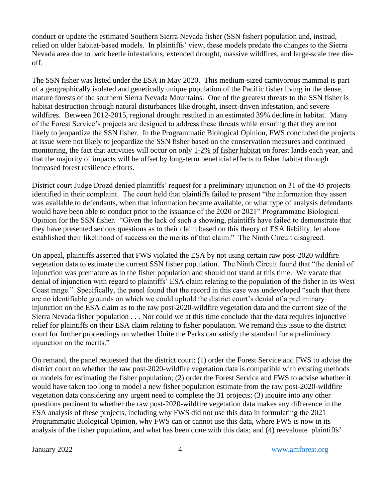conduct or update the estimated Southern Sierra Nevada fisher (SSN fisher) population and, instead, relied on older habitat-based models. In plaintiffs' view, these models predate the changes to the Sierra Nevada area due to bark beetle infestations, extended drought, massive wildfires, and large-scale tree dieoff.

The SSN fisher was listed under the ESA in May 2020. This medium-sized carnivorous mammal is part of a geographically isolated and genetically unique population of the Pacific fisher living in the dense, mature forests of the southern Sierra Nevada Mountains. One of the greatest threats to the SSN fisher is habitat destruction through natural disturbances like drought, insect-driven infestation, and severe wildfires. Between 2012-2015, regional drought resulted in an estimated 39% decline in habitat. Many of the Forest Service's projects are designed to address these threats while ensuring that they are not likely to jeopardize the SSN fisher. In the Programmatic Biological Opinion, FWS concluded the projects at issue were not likely to jeopardize the SSN fisher based on the conservation measures and continued monitoring, the fact that activities will occur on only 1-2% of fisher habitat on forest lands each year, and that the majority of impacts will be offset by long-term beneficial effects to fisher habitat through increased forest resilience efforts.

District court Judge Drozd denied plaintiffs' request for a preliminary injunction on 31 of the 45 projects identified in their complaint. The court held that plaintiffs failed to present "the information they assert was available to defendants, when that information became available, or what type of analysis defendants would have been able to conduct prior to the issuance of the 2020 or 2021" Programmatic Biological Opinion for the SSN fisher. "Given the lack of such a showing, plaintiffs have failed to demonstrate that they have presented serious questions as to their claim based on this theory of ESA liability, let alone established their likelihood of success on the merits of that claim." The Ninth Circuit disagreed.

On appeal, plaintiffs asserted that FWS violated the ESA by not using certain raw post-2020 wildfire vegetation data to estimate the current SSN fisher population. The Ninth Circuit found that "the denial of injunction was premature as to the fisher population and should not stand at this time. We vacate that denial of injunction with regard to plaintiffs' ESA claim relating to the population of the fisher in its West Coast range." Specifically, the panel found that the record in this case was undeveloped "such that there are no identifiable grounds on which we could uphold the district court's denial of a preliminary injunction on the ESA claim as to the raw post-2020-wildfire vegetation data and the current size of the Sierra Nevada fisher population . . . Nor could we at this time conclude that the data requires injunctive relief for plaintiffs on their ESA claim relating to fisher population. We remand this issue to the district court for further proceedings on whether Unite the Parks can satisfy the standard for a preliminary injunction on the merits."

On remand, the panel requested that the district court: (1) order the Forest Service and FWS to advise the district court on whether the raw post-2020-wildfire vegetation data is compatible with existing methods or models for estimating the fisher population; (2) order the Forest Service and FWS to advise whether it would have taken too long to model a new fisher population estimate from the raw post-2020-wildfire vegetation data considering any urgent need to complete the 31 projects; (3) inquire into any other questions pertinent to whether the raw post-2020-wildfire vegetation data makes any difference in the ESA analysis of these projects, including why FWS did not use this data in formulating the 2021 Programmatic Biological Opinion, why FWS can or cannot use this data, where FWS is now in its analysis of the fisher population, and what has been done with this data; and (4) reevaluate plaintiffs'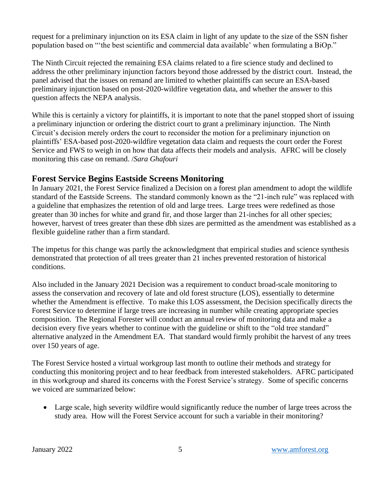request for a preliminary injunction on its ESA claim in light of any update to the size of the SSN fisher population based on "'the best scientific and commercial data available' when formulating a BiOp."

The Ninth Circuit rejected the remaining ESA claims related to a fire science study and declined to address the other preliminary injunction factors beyond those addressed by the district court. Instead, the panel advised that the issues on remand are limited to whether plaintiffs can secure an ESA-based preliminary injunction based on post-2020-wildfire vegetation data, and whether the answer to this question affects the NEPA analysis.

While this is certainly a victory for plaintiffs, it is important to note that the panel stopped short of issuing a preliminary injunction or ordering the district court to grant a preliminary injunction. The Ninth Circuit's decision merely orders the court to reconsider the motion for a preliminary injunction on plaintiffs' ESA-based post-2020-wildfire vegetation data claim and requests the court order the Forest Service and FWS to weigh in on how that data affects their models and analysis. AFRC will be closely monitoring this case on remand. /*Sara Ghafouri*

#### **Forest Service Begins Eastside Screens Monitoring**

In January 2021, the Forest Service finalized a Decision on a forest plan amendment to adopt the wildlife standard of the Eastside Screens. The standard commonly known as the "21-inch rule" was replaced with a guideline that emphasizes the retention of old and large trees. Large trees were redefined as those greater than 30 inches for white and grand fir, and those larger than 21-inches for all other species; however, harvest of trees greater than these dbh sizes are permitted as the amendment was established as a flexible guideline rather than a firm standard.

The impetus for this change was partly the acknowledgment that empirical studies and science synthesis demonstrated that protection of all trees greater than 21 inches prevented restoration of historical conditions.

Also included in the January 2021 Decision was a requirement to conduct broad-scale monitoring to assess the conservation and recovery of late and old forest structure (LOS), essentially to determine whether the Amendment is effective. To make this LOS assessment, the Decision specifically directs the Forest Service to determine if large trees are increasing in number while creating appropriate species composition. The Regional Forester will conduct an annual review of monitoring data and make a decision every five years whether to continue with the guideline or shift to the "old tree standard" alternative analyzed in the Amendment EA. That standard would firmly prohibit the harvest of any trees over 150 years of age.

The Forest Service hosted a virtual workgroup last month to outline their methods and strategy for conducting this monitoring project and to hear feedback from interested stakeholders. AFRC participated in this workgroup and shared its concerns with the Forest Service's strategy. Some of specific concerns we voiced are summarized below:

• Large scale, high severity wildfire would significantly reduce the number of large trees across the study area. How will the Forest Service account for such a variable in their monitoring?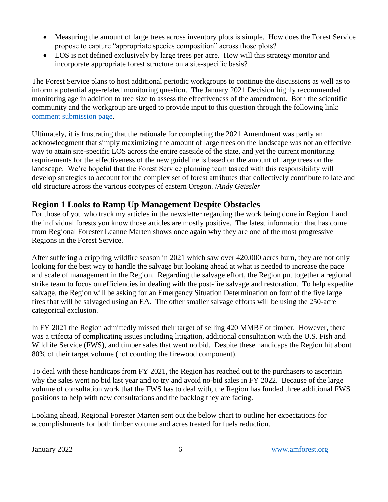- Measuring the amount of large trees across inventory plots is simple. How does the Forest Service propose to capture "appropriate species composition" across those plots?
- LOS is not defined exclusively by large trees per acre. How will this strategy monitor and incorporate appropriate forest structure on a site-specific basis?

The Forest Service plans to host additional periodic workgroups to continue the discussions as well as to inform a potential age-related monitoring question. The January 2021 Decision highly recommended monitoring age in addition to tree size to assess the effectiveness of the amendment. Both the scientific community and the workgroup are urged to provide input to this question through the following link: [comment submission](https://cara.ecosystem-management.org/Public/CommentInput?project=58050) page.

Ultimately, it is frustrating that the rationale for completing the 2021 Amendment was partly an acknowledgment that simply maximizing the amount of large trees on the landscape was not an effective way to attain site-specific LOS across the entire eastside of the state, and yet the current monitoring requirements for the effectiveness of the new guideline is based on the amount of large trees on the landscape. We're hopeful that the Forest Service planning team tasked with this responsibility will develop strategies to account for the complex set of forest attributes that collectively contribute to late and old structure across the various ecotypes of eastern Oregon. /*Andy Geissler*

## **Region 1 Looks to Ramp Up Management Despite Obstacles**

For those of you who track my articles in the newsletter regarding the work being done in Region 1 and the individual forests you know those articles are mostly positive. The latest information that has come from Regional Forester Leanne Marten shows once again why they are one of the most progressive Regions in the Forest Service.

After suffering a crippling wildfire season in 2021 which saw over 420,000 acres burn, they are not only looking for the best way to handle the salvage but looking ahead at what is needed to increase the pace and scale of management in the Region. Regarding the salvage effort, the Region put together a regional strike team to focus on efficiencies in dealing with the post-fire salvage and restoration. To help expedite salvage, the Region will be asking for an Emergency Situation Determination on four of the five large fires that will be salvaged using an EA. The other smaller salvage efforts will be using the 250-acre categorical exclusion.

In FY 2021 the Region admittedly missed their target of selling 420 MMBF of timber. However, there was a trifecta of complicating issues including litigation, additional consultation with the U.S. Fish and Wildlife Service (FWS), and timber sales that went no bid. Despite these handicaps the Region hit about 80% of their target volume (not counting the firewood component).

To deal with these handicaps from FY 2021, the Region has reached out to the purchasers to ascertain why the sales went no bid last year and to try and avoid no-bid sales in FY 2022. Because of the large volume of consultation work that the FWS has to deal with, the Region has funded three additional FWS positions to help with new consultations and the backlog they are facing.

Looking ahead, Regional Forester Marten sent out the below chart to outline her expectations for accomplishments for both timber volume and acres treated for fuels reduction.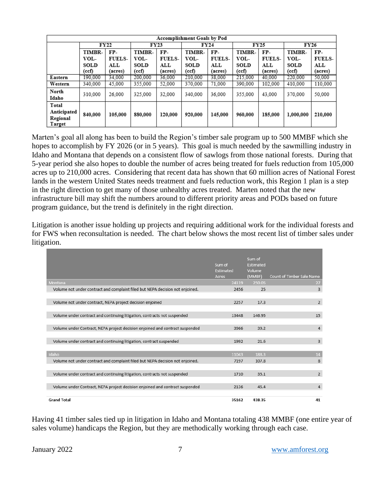| Accomplishment Goals by Pod       |             |               |               |               |             |               |         |               |             |               |  |  |  |
|-----------------------------------|-------------|---------------|---------------|---------------|-------------|---------------|---------|---------------|-------------|---------------|--|--|--|
|                                   | <b>FY22</b> |               | FY23          |               | <b>FY24</b> |               | FY25    |               | <b>FY26</b> |               |  |  |  |
|                                   | TIMBR-      | FP-           | <b>TIMBR-</b> | FP-           | TIMBR-      | FP-           | TIMBR-  | FP-           | TIMBR-      | FP-           |  |  |  |
|                                   | VOL-        | <b>FUELS-</b> | VOL-          | <b>FUELS-</b> | VOL-        | <b>FUELS-</b> | VOL-    | <b>FUELS-</b> | VOL-        | <b>FUELS-</b> |  |  |  |
|                                   | SOLD        | ALL           | SOLD          | $_{\rm ALL}$  | SOLD        | ALL           | SOLD    | ALL           | SOLD        | ALL           |  |  |  |
|                                   | (ccf)       | (acres)       | (ccf)         | (acres)       | (ccf)       | (acres)       | (ccf)   | (acres)       | (ccf)       | (acres)       |  |  |  |
| Eastern                           | 190.000     | 34,000        | 200,000       | 36,000        | 210,000     | 38,000        | 215,000 | 40.000        | 220,000     | 50,000        |  |  |  |
| Western                           | 340,000     | 45.000        | 355,000       | 52,000        | 370,000     | 71.000        | 390,000 | 102.000       | 410.000     | 110,000       |  |  |  |
| North<br>Idaho                    | 310,000     | 26,000        | 325,000       | 32,000        | 340,000     | 36,000        | 355,000 | 43,000        | 370,000     | 50,000        |  |  |  |
| Total                             |             |               |               |               |             |               |         |               |             |               |  |  |  |
| Anticipated<br>Regional<br>Target | 840,000     | 105,000       | 880,000       | 120,000       | 920,000     | 145,000       | 960,000 | 185,000       | 1,000,000   | 210,000       |  |  |  |

Marten's goal all along has been to build the Region's timber sale program up to 500 MMBF which she hopes to accomplish by FY 2026 (or in 5 years). This goal is much needed by the sawmilling industry in Idaho and Montana that depends on a consistent flow of sawlogs from those national forests. During that 5-year period she also hopes to double the number of acres being treated for fuels reduction from 105,000 acres up to 210,000 acres. Considering that recent data has shown that 60 million acres of National Forest lands in the western United States needs treatment and fuels reduction work, this Region 1 plan is a step in the right direction to get many of those unhealthy acres treated. Marten noted that the new infrastructure bill may shift the numbers around to different priority areas and PODs based on future program guidance, but the trend is definitely in the right direction.

Litigation is another issue holding up projects and requiring additional work for the individual forests and for FWS when reconsultation is needed. The chart below shows the most recent list of timber sales under litigation.

|                                                                               | Sum of<br>Estimated<br>Acres | Sum of<br>Estimated<br>Volume<br>(MMBF) | Count of Timber Sale Name |
|-------------------------------------------------------------------------------|------------------------------|-----------------------------------------|---------------------------|
| Montana                                                                       | 24119                        | 250.05                                  | 27                        |
| Volume not under contract and complaint filed but NEPA decision not enjoined. | 2456                         | 25                                      | 3                         |
|                                                                               |                              |                                         |                           |
| Volume not under contract, NEPA project decision enjoined                     | 2257                         | 17.3                                    | $\overline{2}$            |
|                                                                               |                              |                                         |                           |
| Volume under contract and continuing litigation, contracts not suspended      | 13448                        | 146.95                                  | 15                        |
|                                                                               |                              |                                         |                           |
| Volume under Contract, NEPA project decision enjoined and contract suspended  | 3966                         | 39.2                                    | 4                         |
|                                                                               |                              |                                         |                           |
| Volume under contract and continuing litigation, contract suspended           | 1992                         | 21.6                                    | 3                         |
|                                                                               |                              |                                         |                           |
| Idaho                                                                         | 11043                        | 188.3                                   | 14                        |
| Volume not under contract and complaint filed but NEPA decision not enjoined. | 7197                         | 107.8                                   | 8                         |
|                                                                               |                              |                                         |                           |
|                                                                               |                              | 35.1                                    | $\overline{2}$            |
| Volume under contract and continuing litigation, contracts not suspended      | 1710                         |                                         |                           |
|                                                                               |                              |                                         |                           |
| Volume under Contract, NEPA project decision enjoined and contract suspended  | 2136                         | 45.4                                    | 4                         |
|                                                                               |                              |                                         |                           |
| <b>Grand Total</b>                                                            | 35162                        | 438.35                                  | 41                        |

Having 41 timber sales tied up in litigation in Idaho and Montana totaling 438 MMBF (one entire year of sales volume) handicaps the Region, but they are methodically working through each case.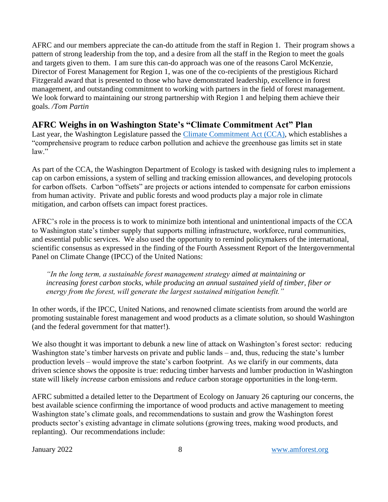AFRC and our members appreciate the can-do attitude from the staff in Region 1. Their program shows a pattern of strong leadership from the top, and a desire from all the staff in the Region to meet the goals and targets given to them. I am sure this can-do approach was one of the reasons Carol McKenzie, Director of Forest Management for Region 1, was one of the co-recipients of the prestigious Richard Fitzgerald award that is presented to those who have demonstrated leadership, excellence in forest management, and outstanding commitment to working with partners in the field of forest management. We look forward to maintaining our strong partnership with Region 1 and helping them achieve their goals. */Tom Partin* 

# **AFRC Weighs in on Washington State's "Climate Commitment Act" Plan**

Last year, the Washington Legislature passed the [Climate Commitment Act \(CCA\),](https://ecology.wa.gov/Air-Climate/Climate-change/Reducing-greenhouse-gases/Climate-Commitment-Act) which establishes a "comprehensive program to reduce carbon pollution and achieve the greenhouse gas limits set in state law."

As part of the CCA, the Washington Department of Ecology is tasked with designing rules to implement a cap on carbon emissions, a system of selling and tracking emission allowances, and developing protocols for carbon offsets. Carbon "offsets" are projects or actions intended to compensate for carbon emissions from human activity. Private and public forests and wood products play a major role in climate mitigation, and carbon offsets can impact forest practices.

AFRC's role in the process is to work to minimize both intentional and unintentional impacts of the CCA to Washington state's timber supply that supports milling infrastructure, workforce, rural communities, and essential public services. We also used the opportunity to remind policymakers of the international, scientific consensus as expressed in the finding of the Fourth Assessment Report of the Intergovernmental Panel on Climate Change (IPCC) of the United Nations:

*"In the long term, a sustainable forest management strategy aimed at maintaining or increasing forest carbon stocks, while producing an annual sustained yield of timber, fiber or energy from the forest, will generate the largest sustained mitigation benefit."* 

In other words, if the IPCC, United Nations, and renowned climate scientists from around the world are promoting sustainable forest management and wood products as a climate solution, so should Washington (and the federal government for that matter!).

We also thought it was important to debunk a new line of attack on Washington's forest sector: reducing Washington state's timber harvests on private and public lands – and, thus, reducing the state's lumber production levels – would improve the state's carbon footprint. As we clarify in our comments, data driven science shows the opposite is true: reducing timber harvests and lumber production in Washington state will likely *increase* carbon emissions and *reduce* carbon storage opportunities in the long-term.

AFRC submitted a detailed letter to the Department of Ecology on January 26 capturing our concerns, the best available science confirming the importance of wood products and active management to meeting Washington state's climate goals, and recommendations to sustain and grow the Washington forest products sector's existing advantage in climate solutions (growing trees, making wood products, and replanting). Our recommendations include: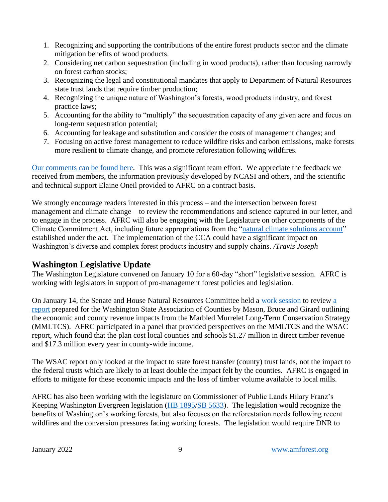- 1. Recognizing and supporting the contributions of the entire forest products sector and the climate mitigation benefits of wood products.
- 2. Considering net carbon sequestration (including in wood products), rather than focusing narrowly on forest carbon stocks;
- 3. Recognizing the legal and constitutional mandates that apply to Department of Natural Resources state trust lands that require timber production;
- 4. Recognizing the unique nature of Washington's forests, wood products industry, and forest practice laws;
- 5. Accounting for the ability to "multiply" the sequestration capacity of any given acre and focus on long-term sequestration potential;
- 6. Accounting for leakage and substitution and consider the costs of management changes; and
- 7. Focusing on active forest management to reduce wildfire risks and carbon emissions, make forests more resilient to climate change, and promote reforestation following wildfires.

[Our comments can be found here.](https://amforest.org/wp-content/uploads/2022/01/AFRC-Climate-Commitment-Act-Comments-Final.pdf) This was a significant team effort. We appreciate the feedback we received from members, the information previously developed by NCASI and others, and the scientific and technical support Elaine Oneil provided to AFRC on a contract basis.

We strongly encourage readers interested in this process – and the intersection between forest management and climate change – to review the recommendations and science captured in our letter, and to engage in the process. AFRC will also be engaging with the Legislature on other components of the Climate Commitment Act, including future appropriations from the ["natural climate solutions account"](https://app.leg.wa.gov/RCW/default.aspx?cite=70A.65.270) established under the act. The implementation of the CCA could have a significant impact on Washington's diverse and complex forest products industry and supply chains. */Travis Joseph* 

#### **Washington Legislative Update**

The Washington Legislature convened on January 10 for a 60-day "short" legislative session. AFRC is working with legislators in support of pro-management forest policies and legislation.

On January 14, the Senate and House Natural Resources Committee held a [work session](https://tvw.org/video/jt-senate-agriculture-water-natural-resources-parks-whse-rural-development-agriculture-natural-resources-committee-2022011217/?eventID=2022011217) to review [a](https://www.wsac.org/seabird-costs-counties-and-schools-17-3-million-and-220-jobs-annually/)  [report](https://www.wsac.org/seabird-costs-counties-and-schools-17-3-million-and-220-jobs-annually/) prepared for the Washington State Association of Counties by Mason, Bruce and Girard outlining the economic and county revenue impacts from the Marbled Murrelet Long-Term Conservation Strategy (MMLTCS). AFRC participated in a panel that provided perspectives on the MMLTCS and the WSAC report, which found that the plan cost local counties and schools \$1.27 million in direct timber revenue and \$17.3 million every year in county-wide income.

The WSAC report only looked at the impact to state forest transfer (county) trust lands, not the impact to the federal trusts which are likely to at least double the impact felt by the counties. AFRC is engaged in efforts to mitigate for these economic impacts and the loss of timber volume available to local mills.

AFRC has also been working with the legislature on Commissioner of Public Lands Hilary Franz's Keeping Washington Evergreen legislation [\(HB 1895](https://app.leg.wa.gov/billsummary?BillNumber=1895&Initiative=false&Year=2021)[/SB 5633\)](https://app.leg.wa.gov/billsummary?BillNumber=5633&Year=2021&Initiative=false). The legislation would recognize the benefits of Washington's working forests, but also focuses on the reforestation needs following recent wildfires and the conversion pressures facing working forests. The legislation would require DNR to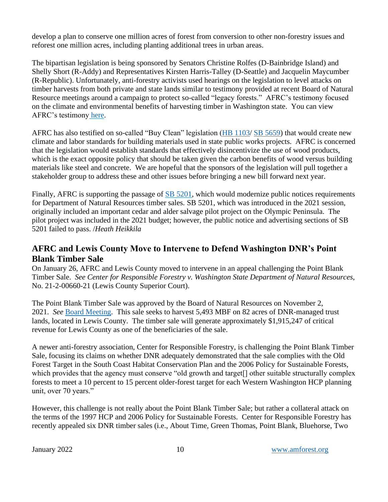develop a plan to conserve one million acres of forest from conversion to other non-forestry issues and reforest one million acres, including planting additional trees in urban areas.

The bipartisan legislation is being sponsored by Senators Christine Rolfes (D-Bainbridge Island) and Shelly Short (R-Addy) and Representatives Kirsten Harris-Talley (D-Seattle) and Jacquelin Maycumber (R-Republic). Unfortunately, anti-forestry activists used hearings on the legislation to level attacks on timber harvests from both private and state lands similar to testimony provided at recent Board of Natural Resource meetings around a campaign to protect so-called "legacy forests." AFRC's testimony focused on the climate and environmental benefits of harvesting timber in Washington state. You can view AFRC's testimony [here.](https://www.tvw.org/watch/?clientID=9375922947&eventID=2022011364&startStreamAt=4542)

AFRC has also testified on so-called "Buy Clean" legislation [\(HB 1103/](https://app.leg.wa.gov/billsummary?BillNumber=1103&Initiative=false&Year=2021) [SB 5659\)](https://app.leg.wa.gov/billsummary?BillNumber=5659&Year=2021&Initiative=false) that would create new climate and labor standards for building materials used in state public works projects. AFRC is concerned that the legislation would establish standards that effectively disincentivize the use of wood products, which is the exact opposite policy that should be taken given the carbon benefits of wood versus building materials like steel and concrete. We are hopeful that the sponsors of the legislation will pull together a stakeholder group to address these and other issues before bringing a new bill forward next year.

Finally, AFRC is supporting the passage of [SB 5201,](https://app.leg.wa.gov/billsummary?BillNumber=5201&Initiative=false&Year=2021) which would modernize public notices requirements for Department of Natural Resources timber sales. SB 5201, which was introduced in the 2021 session, originally included an important cedar and alder salvage pilot project on the Olympic Peninsula. The pilot project was included in the 2021 budget; however, the public notice and advertising sections of SB 5201 failed to pass. /*Heath Heikkila*

# **AFRC and Lewis County Move to Intervene to Defend Washington DNR's Point Blank Timber Sale**

On January 26, AFRC and Lewis County moved to intervene in an appeal challenging the Point Blank Timber Sale. *See Center for Responsible Forestry v. Washington State Department of Natural Resources*, No. 21-2-00660-21 (Lewis County Superior Court).

The Point Blank Timber Sale was approved by the Board of Natural Resources on November 2, 2021. *See* [Board Meeting.](https://tvw.org/video/washington-state-board-of-natural-resources-2021111033/?eventID=2021111033.) This sale seeks to harvest 5,493 MBF on 82 acres of DNR-managed trust lands, located in Lewis County. The timber sale will generate approximately \$1,915,247 of critical revenue for Lewis County as one of the beneficiaries of the sale.

A newer anti-forestry association, Center for Responsible Forestry, is challenging the Point Blank Timber Sale, focusing its claims on whether DNR adequately demonstrated that the sale complies with the Old Forest Target in the South Coast Habitat Conservation Plan and the 2006 Policy for Sustainable Forests, which provides that the agency must conserve "old growth and target<sup>[]</sup> other suitable structurally complex forests to meet a 10 percent to 15 percent older-forest target for each Western Washington HCP planning unit, over 70 years."

However, this challenge is not really about the Point Blank Timber Sale; but rather a collateral attack on the terms of the 1997 HCP and 2006 Policy for Sustainable Forests. Center for Responsible Forestry has recently appealed six DNR timber sales (i.e., About Time, Green Thomas, Point Blank, Bluehorse, Two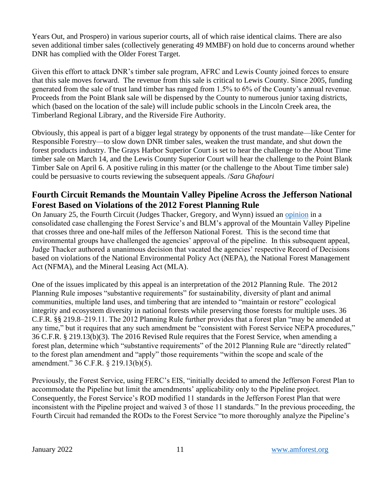Years Out, and Prospero) in various superior courts, all of which raise identical claims. There are also seven additional timber sales (collectively generating 49 MMBF) on hold due to concerns around whether DNR has complied with the Older Forest Target.

Given this effort to attack DNR's timber sale program, AFRC and Lewis County joined forces to ensure that this sale moves forward. The revenue from this sale is critical to Lewis County. Since 2005, funding generated from the sale of trust land timber has ranged from 1.5% to 6% of the County's annual revenue. Proceeds from the Point Blank sale will be dispensed by the County to numerous junior taxing districts, which (based on the location of the sale) will include public schools in the Lincoln Creek area, the Timberland Regional Library, and the Riverside Fire Authority.

Obviously, this appeal is part of a bigger legal strategy by opponents of the trust mandate—like Center for Responsible Forestry—to slow down DNR timber sales, weaken the trust mandate, and shut down the forest products industry. The Grays Harbor Superior Court is set to hear the challenge to the About Time timber sale on March 14, and the Lewis County Superior Court will hear the challenge to the Point Blank Timber Sale on April 6. A positive ruling in this matter (or the challenge to the About Time timber sale) could be persuasive to courts reviewing the subsequent appeals. /*Sara Ghafouri*

## **Fourth Circuit Remands the Mountain Valley Pipeline Across the Jefferson National Forest Based on Violations of the 2012 Forest Planning Rule**

On January 25, the Fourth Circuit (Judges Thacker, Gregory, and Wynn) issued an [opinion](https://amforest.org/wp-content/uploads/2022/01/Dkt-89-Opinion.pdf) in a consolidated case challenging the Forest Service's and BLM's approval of the Mountain Valley Pipeline that crosses three and one-half miles of the Jefferson National Forest. This is the second time that environmental groups have challenged the agencies' approval of the pipeline. In this subsequent appeal, Judge Thacker authored a unanimous decision that vacated the agencies' respective Record of Decisions based on violations of the National Environmental Policy Act (NEPA), the National Forest Management Act (NFMA), and the Mineral Leasing Act (MLA).

One of the issues implicated by this appeal is an interpretation of the 2012 Planning Rule. The 2012 Planning Rule imposes "substantive requirements" for sustainability, diversity of plant and animal communities, multiple land uses, and timbering that are intended to "maintain or restore" ecological integrity and ecosystem diversity in national forests while preserving those forests for multiple uses. 36 C.F.R. §§ 219.8–219.11. The 2012 Planning Rule further provides that a forest plan "may be amended at any time," but it requires that any such amendment be "consistent with Forest Service NEPA procedures," 36 C.F.R. § 219.13(b)(3). The 2016 Revised Rule requires that the Forest Service, when amending a forest plan, determine which "substantive requirements" of the 2012 Planning Rule are "directly related" to the forest plan amendment and "apply" those requirements "within the scope and scale of the amendment." 36 C.F.R. § 219.13(b)(5).

Previously, the Forest Service, using FERC's EIS, "initially decided to amend the Jefferson Forest Plan to accommodate the Pipeline but limit the amendments' applicability only to the Pipeline project. Consequently, the Forest Service's ROD modified 11 standards in the Jefferson Forest Plan that were inconsistent with the Pipeline project and waived 3 of those 11 standards." In the previous proceeding, the Fourth Circuit had remanded the RODs to the Forest Service "to more thoroughly analyze the Pipeline's